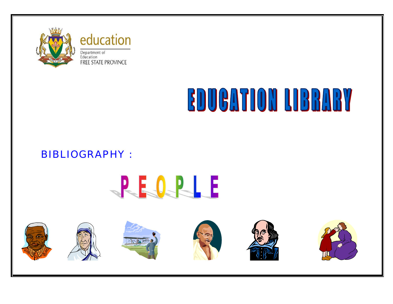

education Department of<br>Education **FREE STATE PROVINCE** 

# **EDUGATION LIBRARY**

## BIBLIOGRAPHY :



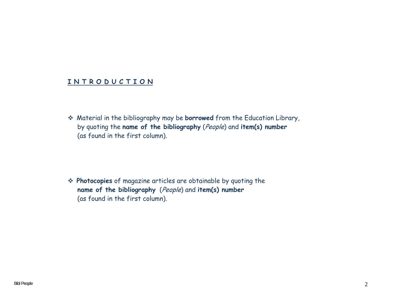#### **I N T R O D U C T I O N**

 Material in the bibliography may be **borrowed** from the Education Library, by quoting the **name of the bibliography** (People) and **item(s) number** (as found in the first column).

 **Photocopies** of magazine articles are obtainable by quoting the **name of the bibliography** (People) and **item(s) number** (as found in the first column).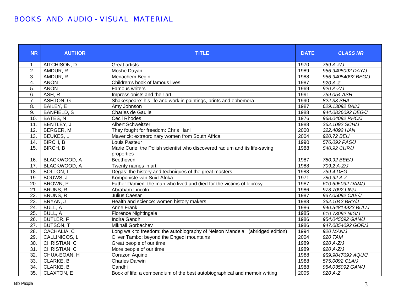#### BOOKS AND AUDIO - VISUAL MATERIAL

| <b>NR</b>         | <b>AUTHOR</b>      | <b>TITLE</b>                                                                 |      | <b>CLASS NR</b>    |
|-------------------|--------------------|------------------------------------------------------------------------------|------|--------------------|
| $\mathbf{1}$ .    | AITCHISON, D       | <b>Great artists</b>                                                         | 1970 | 759 A-Z/J          |
| 2.                | AMDUR, R           | Moshe Dayan                                                                  | 1989 | 956.9405092 DAY/J  |
| 3.                | AMDUR, R           | Menachem Begin                                                               | 1988 | 956.94054092 BEG/J |
| 4.                | <b>ANON</b>        | Children's book of famous lives                                              | 1987 | $920A-Z$           |
| 5.                | <b>ANON</b>        | Famous writers                                                               | 1969 | 920 A-Z/J          |
| 6.                | ASH, R             | Impressionists and their art                                                 | 1991 | 759.054 ASH        |
| $\overline{7}$ .  | ASHTON, G          | Shakespeare: his life and work in paintings, prints and ephemera             | 1990 | 822.33 SHA         |
| $\overline{8}$ .  | BAILEY, E          | Amy Johnson                                                                  | 1987 | 629.13092 BAI/J    |
| 9.                | <b>BANFIELD, S</b> | Charles de Gaulle                                                            | 1988 | 944.0836092 DEG/J  |
| 10.               | BATES, N           | <b>Cecil Rhodes</b>                                                          | 1976 | 968.04092 RHO/J    |
| $\overline{11}$ . | BENTLEY, J         | <b>Albert Schweitzer</b>                                                     | 1988 | 362.1092 SCH/J     |
| 12.               | <b>BERGER, M</b>   | They fought for freedom: Chris Hani                                          | 2000 | 322.4092 HAN       |
| 13.               | <b>BEUKES, L</b>   | Maverick: extraordinary women from South Africa                              | 2004 | 920.72 BEU         |
| 14.               | <b>BIRCH, B</b>    | Louis Pasteur                                                                | 1990 | 576.092 PAS/J      |
| $\overline{15}$ . | <b>BIRCH, B</b>    | Marie Curie: the Polish scientist who discovered radium and its life-saving  |      | 540.92 CUR/J       |
|                   |                    | properties                                                                   |      |                    |
| 16.               | BLACKWOOD, A       | Beethoven                                                                    | 1987 | 780.92 BEE/J       |
| 17.               | BLACKWOOD, A       | Twenty names in art                                                          |      | 709.2 A-Z/J        |
| 18.               | <b>BOLTON, L</b>   | Degas: the history and techniques of the great masters                       |      | 759.4 DEG          |
| 19.               | BOUWS, J           | Komponiste van Suid-Afrika                                                   |      | 780.92 A-Z         |
| $\overline{20}$   | BROWN, P           | Father Damien: the man who lived and died for the victims of leprosy         |      | 610.695092 DAM/J   |
| $\overline{21}$   | BRUNS, R           | Abraham Lincoln                                                              |      | 973.7092 LIN/J     |
| 22.               | BRUNS, R           | Julius Caesar                                                                |      | 937.05092 CAE/J    |
| $\overline{23}$ . | BRYAN, J           | Health and science: women history makers                                     | 1988 | 362.1042 BRY/J     |
| $\overline{24}$ . | <b>BULL, A</b>     | <b>Anne Frank</b>                                                            | 1986 | 940.54814923 BUL/J |
| $\overline{25}$   | <b>BULL, A</b>     | <b>Florence Nightingale</b>                                                  | 1985 | 610.73092 NIG/J    |
| 26.               | <b>BUTLER, F</b>   | <b>Indira Gandhi</b>                                                         | 1986 | 954.045092 GAN/J   |
| $\overline{27}$ . | <b>BUTSON, T</b>   | <b>Mikhail Gorbachev</b>                                                     | 1986 | 947.0854092 GOR/J  |
| 28.               | CACHALIA, C        | Long walk to freedom: the autobiography of Nelson Mandela (abridged edition) | 1994 | 920 MAN/J          |
| 29.               | CALLINICOS, L      | Oliver Tambo: beyond the Engedi mountains                                    | 2004 | 920 TAM            |
| 30.               | CHRISTIAN, C       | 1989<br>Great people of our time                                             |      | 920 A-Z/J          |
| 31.               | CHRISTIAN, C       | 1989<br>More people of our time                                              |      | $920A-Z/J$         |
| $\overline{32}$   | CHUA-EOAN, H       | Corazon Aquino                                                               | 1988 | 959.9047092 AQU/J  |
| 33.               | CLARKE, B          | 1988<br><b>Charles Darwin</b>                                                |      | 575.0092 CLA/J     |
| 34.               | CLARKE, B          | Gandhi<br>1988                                                               |      | 954.035092 GAN/J   |
| $\overline{35}$ . | <b>CLAXTON, E</b>  | Book of life: a compendium of the best autobiographical and memoir writing   | 2005 | 920 A-Z            |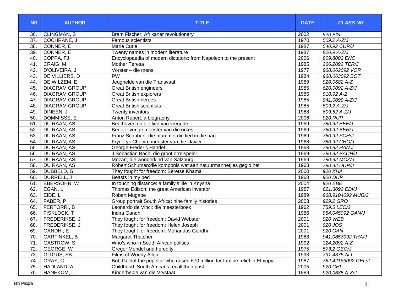| <b>CLINGMAN, S</b><br>36.<br>Bram Fischer: Afrikaner revolutionary<br>2002<br>920 FIS<br>$\overline{37}$ .<br>1970<br>$509.2 A-Z/J$<br>COCHRANE, J<br><b>Famous scientists</b><br>38.<br>CONNER, E<br>Marie Curie<br>1987<br>540.92 CUR/J<br>39.<br>CONNER, E<br>1987<br>820.9 A-Z/J |                    |
|--------------------------------------------------------------------------------------------------------------------------------------------------------------------------------------------------------------------------------------------------------------------------------------|--------------------|
|                                                                                                                                                                                                                                                                                      |                    |
|                                                                                                                                                                                                                                                                                      |                    |
|                                                                                                                                                                                                                                                                                      |                    |
| Twenty names in modern literature                                                                                                                                                                                                                                                    |                    |
| 909.8003 ENC<br>40.<br>COPPA, FJ<br>Encyclopaedia of modern dictators: from Napoleon to the present<br>2006                                                                                                                                                                          |                    |
| CRAIG, M<br>41.<br><b>Mother Teresa</b><br>1985<br>266.2092 TER/J                                                                                                                                                                                                                    |                    |
| 42.<br>D'OLIVEIRA, J<br>1977<br>Vorster - die mens                                                                                                                                                                                                                                   | 968.062092 VOR     |
| PW<br>43.<br>DE VILLIERS, D<br>1984                                                                                                                                                                                                                                                  | 968.063092 BOT     |
| DE WILZEM, E<br>44.<br>1989<br>920.0682 A-Z<br>Jeughelde van die Transvaal                                                                                                                                                                                                           |                    |
| <b>DIAGRAM GROUP</b><br>45.<br><b>Great British engineers</b><br>1985<br>620.0092 A-Z/J                                                                                                                                                                                              |                    |
| <b>DIAGRAM GROUP</b><br><b>Great British explorers</b><br>1985<br>910.92 A-Z<br>46.                                                                                                                                                                                                  |                    |
| <b>DIAGRAM GROUP</b><br>47.<br><b>Great British heroes</b><br>1985<br>941.0099 A-Z/J                                                                                                                                                                                                 |                    |
| <b>DIAGRAM GROUP</b><br>48.<br>1985<br>509.2 A-Z/J<br><b>Great British scientists</b>                                                                                                                                                                                                |                    |
| 49.<br>DINEEN, J<br>1988<br>609.52 A-Z/J<br>Twenty inventors                                                                                                                                                                                                                         |                    |
| DOMMISSE, E<br>920 RUP<br>50.<br>2006<br>Anton Rupert: a biography                                                                                                                                                                                                                   |                    |
| 780.92 BEE/J<br>51.<br>DU RAAN, AS<br>Beethoven en die lied van vreugde<br>1969                                                                                                                                                                                                      |                    |
| 52.<br>780.92 BER/J<br><b>DU RAAN, AS</b><br>Berlioz: vurige meester van die orkes<br>1969                                                                                                                                                                                           |                    |
| 53.<br>DU RAAN, AS<br>Franz Schubert: die man met die lied in die hart<br>1969<br>780.92 SCH/J                                                                                                                                                                                       |                    |
| 54.<br>780.92 CHO/J<br>DU RAAN, AS<br>1968<br>Fryderyk Chopin: meester van die klavier                                                                                                                                                                                               |                    |
| 55.<br><b>DU RAAN, AS</b><br>George Frederic Handel<br>1968<br>780.92 HAN.J                                                                                                                                                                                                          |                    |
| 56.<br>DU RAAN, AS<br>J Sebastian Bach: die groot orrelspeler<br>1969<br>780.92 BACH/J                                                                                                                                                                                               |                    |
| 57.<br>780.92 MOZ/J<br>DU RAAN, AS<br>Mozart, die wonderkind van Salzburg<br>1969                                                                                                                                                                                                    |                    |
| 58.<br>DU RAAN, AS<br>Robert Schuman: die komponis wat aan natuurmannetjies geglo het<br>1968<br>780.92 DUR/J                                                                                                                                                                        |                    |
| 2000<br>920 KHA<br>59.<br>DUBBELD, G<br>They fought for freedom: Seretse Khama                                                                                                                                                                                                       |                    |
| 60.<br>DURRELL, J<br>Beasts in my bed<br>1968<br>920 DUR                                                                                                                                                                                                                             |                    |
| 920 EBE<br>61.<br>EBERSOHN, W<br>In touching distance: a family's life in Knysna<br>2004                                                                                                                                                                                             |                    |
| 62.<br>EGAN, L<br>Thomas Edison: the great American inventor<br>1987<br>621.3092 EDI/J                                                                                                                                                                                               |                    |
| 63.<br>EIDE, L<br><b>Robert Mugabe</b><br>1989                                                                                                                                                                                                                                       | 968.9104092 MUG/J  |
| FABER, P<br>Group portrait South Africa: nine family histories<br>929.2 GRO<br>64.<br>2003                                                                                                                                                                                           |                    |
| <b>FERTORRI, B</b><br>759.5 LEO/J<br>65.<br>Leonardo de Vinci: die meesterboek<br>1962                                                                                                                                                                                               |                    |
| <b>FISKLOCK, T</b><br>66.<br><b>Indira Gandhi</b><br>1986                                                                                                                                                                                                                            | 954.045092 GAN/J   |
| 67.<br>FREDERIKSE, J<br>2001<br>920 WEB<br>They fought for freedom: David Webster                                                                                                                                                                                                    |                    |
| 68.<br>FREDERIKSE, J<br>They fought for freedom: Helen Joseph<br>2001<br>920 JOS                                                                                                                                                                                                     |                    |
| 920 GAN<br>69.<br>GANDHI, E<br>They fought for freedom: Mohandas Gandhi<br>2001                                                                                                                                                                                                      |                    |
| <b>GARFINKEL, B</b><br>70.<br>1988<br>Margaret Thatcher                                                                                                                                                                                                                              | 941.0857092 THA/J  |
| GASTROW, S<br>Who's who in South African politics<br>71.<br>1992<br>324.2092 A-Z                                                                                                                                                                                                     |                    |
| <b>GEORGE, W</b><br>72.<br>Gregor Mendel and heredity<br>1975<br>573.2 GEO/J                                                                                                                                                                                                         |                    |
| <b>GITGUS, SB</b><br>Films of Woody Allen<br>73.<br>1993<br>791.4375 ALL                                                                                                                                                                                                             |                    |
| Bob Geldof: the pop star who raised £70 million for famine relief in Ethiopia<br>74.<br>GRAY, C<br>1987                                                                                                                                                                              | 782.42163092 GEL/J |
| 920 CHI<br>75.<br>HADLAND, A<br>Childhood: South Africans recall their past<br>2005                                                                                                                                                                                                  |                    |
| 920.0685 A-Z/J<br>76.<br>HANEKOM, L<br>Kinderhelde van die Vrystaat<br>1989                                                                                                                                                                                                          |                    |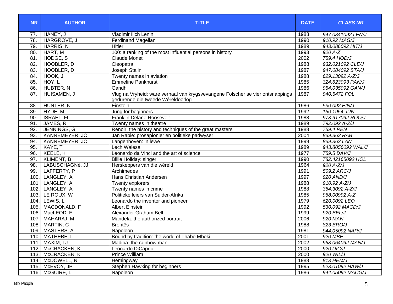| <b>NR</b> | <b>AUTHOR</b>     | <b>TITLE</b>                                                                                                        |      | <b>CLASS NR</b>   |
|-----------|-------------------|---------------------------------------------------------------------------------------------------------------------|------|-------------------|
| 77.       | HANEY, J          | Vladimir Ilich Lenin                                                                                                | 1988 | 947.0841092 LEN/J |
| 78.       | HARGROVE, J       | Ferdinand Magellan                                                                                                  | 1990 | 910.92 MAG/J      |
| 79.       | HARRIS, N         | Hitler                                                                                                              | 1989 | 943.086092 HIT/J  |
| 80.       | HART, M           | 100: a ranking of the most influential persons in history                                                           | 1993 | 920 A-Z           |
| 81.       | HODGE, S          | <b>Claude Monet</b>                                                                                                 | 2002 | 759.4 HOD/J       |
| 82.       | HOOBLER, D        | Cleopatra                                                                                                           | 1988 | 932.021092 CLE/J  |
| 83.       | HOOBLER, D        | Joseph Stalin                                                                                                       | 1987 | 947.084092 STA/J  |
| 84.       | HOOK, J           | Twenty names in aviation                                                                                            | 1988 | 629.13092 A-Z/J   |
| 85.       | HOY, L            | <b>Emmeline Pankhurst</b>                                                                                           | 1985 | 324.623093 PAN/J  |
| 86.       | HUBTER, N         | Gandhi                                                                                                              | 1986 | 954.035092 GAN/J  |
| 87.       | HUISAMEN, J       | Vlug na Vryheid: ware verhaal van krygsvevangene Fölscher se vier ontsnappings<br>gedurende die tweede Wêreldoorlog | 1987 | 940.5472 FOL      |
| 88.       | HUNTER, N         | Einstein                                                                                                            | 1986 | 530.092 EIN/J     |
| 89.       | HYDE, M           | Jung for beginners                                                                                                  | 1992 | 150.1954 JUN      |
| 90.       | <b>ISRAEL, FL</b> | Franklin Delano Roosevelt                                                                                           | 1988 | 973.917092 ROO/J  |
| 91.       | JAMES, R          | Twenty names in theatre                                                                                             | 1989 | 792.092 A-Z/J     |
| 92.       | JENNINGS, G       | Renoir: the history and techniques of the great masters                                                             | 1988 | 759.4 REN         |
| 93.       | KANNEMEYER, JC    | Jan Rabie: prosapionier en politieke padwyser                                                                       | 2004 | 839.363 RAB       |
| 94.       | KANNEMEYER, JC    | Langenhoven: 'n lewe                                                                                                | 1999 | 839.363 LAN       |
| 95.       | KAYE, T           | Lech Walesa                                                                                                         | 1989 | 943.8056092 WAL/J |
| 96.       | KEELE, K          | Leonardo da Vinci and the art of science                                                                            | 1977 | 759.5 DAV/J       |
| 97.       | <b>KLIMENT, B</b> | Billie Holiday: singer                                                                                              | 1990 | 782.42165092 HOL  |
| 98.       | LABUSCHAGNé, JJ   | Herskeppers van die wêreld                                                                                          | 1964 | 920 A-Z/J         |
| 99.       | LAFFERTY, P       | Archimedes                                                                                                          | 1991 | 509.2 ARC/J       |
| 100.      | LANGLEY, A        | Hans Christian Andersen                                                                                             | 1997 | 920 AND/J         |
| 101       | LANGLEY, A        | Twenty explorers                                                                                                    | 1988 | $910.92 A-Z/J$    |
|           | 102. LANGLEY, A   | Twenty names in crime                                                                                               | 1988 | 364.3092 A-Z/J    |
|           | 103. LE ROUX, W   | Politieke leiers van Suider-Afrika                                                                                  | 1985 | 968.00992 A-Z     |
|           | 104. LEWIS, L     | Leonardo the inventor and pioneer                                                                                   | 1979 | 620.0092 LEO      |
|           | 105. MACDONALD, F | <b>Albert Einstein</b>                                                                                              | 1992 | 530.092 MACD/J    |
|           | 106. MacLEOD, E   | Alexander Graham Bell                                                                                               | 1999 | 920 BEL/J         |
|           | 107. MAHARAJ, M   | Mandela: the authorized portrait                                                                                    | 2006 | 920 MAN           |
|           | 108. MARTIN, C    | <b>Brontes</b>                                                                                                      | 1988 | 823 BRO/J         |
|           | 109. MASTERS, A   | Napoleon                                                                                                            | 1981 | 944.05092 NAP/J   |
|           | 110. MATHEBE, L   | Bound by tradition: the world of Thabo Mbeki                                                                        | 2001 | 920 MBE           |
|           | 111. MAXIM, LJ    | Madiba: the rainbow man                                                                                             | 2002 | 968.064092 MAN/J  |
|           | 112. McCRACKEN, K | Leonardo DiCaprio                                                                                                   | 2000 | 920 DIC/J         |
|           | 113. McCRACKEN, K | Prince William                                                                                                      | 2000 | 920 WIL/J         |
|           | 114. McDOWELL, N  | Hemingway                                                                                                           | 1988 | 813 HEM/J         |
|           | 115. McEVOY, JP   | Stephen Hawking for beginners                                                                                       | 1995 | 523.01092 HAW/J   |
|           | 116. McGUIRE, L   | Napoleon                                                                                                            | 1986 | 944.05092 MACG/J  |
|           |                   |                                                                                                                     |      |                   |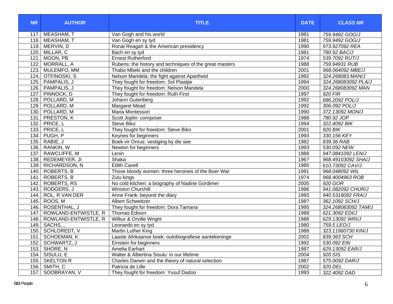| <b>NR</b> | <b>AUTHOR</b>        | <b>TITLE</b>                                            | <b>DATE</b> | <b>CLASS NR</b>     |
|-----------|----------------------|---------------------------------------------------------|-------------|---------------------|
| 117.      | MEASHAM, T           | Van Gogh and his world                                  | 1981        | 759.9492 GOG/J      |
| 118.      | MEASHAM, T           | Van Gogh en sy tyd                                      | 1981        | 759.9492 GOG/J      |
| 119.      | MERVIN, D            | Ronal Reagan & the American presidency                  | 1990        | 973.927092 REA      |
| 120.      | MILLAR, C            | Bach en sy tyd                                          | 1981        | 780.92 BAC/J        |
| 121       | MOON, PB             | <b>Ernest Rutherford</b>                                | 1974        | 539.7092 RUT/J      |
| 122       | MORRALL, A           | Rubens: the history and techniques of the great masters | 1988        | 759.94931 RUB       |
| 123.      | MULEMFO, MM          | Thabo Mbeki and the children                            | 2001        | 968.064092 MBE/J    |
| 124.      | OTFINOSKI, S         | Nelson Mandela: the fight against Apartheid             | 1992        | 324.268083 MAN/J    |
| 125.      | PAMPALIS, J          | They fought for freedom: Sol Plaatjie                   | 1994        | 324.268083092 PLA/J |
| 126.      | PAMPALIS, J          | They fought for freedom: Nelson Mandela                 | 2000        | 324.268083092 MAN   |
| 127.      | PINNOCK, D           | They fought for freedom: Ruth First                     | 1997        | 920 FIR             |
| 128.      | POLLARD, M           | Johann Gutenberg                                        | 1992        | 686.2092 POL/J      |
| 129.      | POLLARD, M           | Margaret Mead                                           | 1992        | 306.092 POL/J       |
| 130.      | POLLARD, M           | Maria Montessori                                        | 1990        | 372.13092 MON/J     |
| 131.      | PRESTON, K           | Scott Joplin: composer                                  | 1988        | 780.92 JOP          |
| 132.      | PRICE, L             | Steve Biko                                              | 1994        | 322.4092 BIK        |
| 133.      | PRICE, L             | They fought for freedom: Steve Biko                     | 2001        | 920 BIK             |
| 134.      | PUGH, P              | Keynes for beginners                                    | 1993        | 330.156 KEY         |
| 135.      | RABIE, J             | Boek vir Onrus: vestiging by die see                    | 1982        | 839.36 RAB          |
| 136.      | RANKIN, W            | Newton for beginners                                    | 1993        | 530.092 NEW         |
| 137.      | RAWCLIFFE, M         | Lenin                                                   | 1988        | 947.0841092 LEN/J   |
| 138.      | REDEMEYER, JI        | Shaka                                                   | 196?        | 968.49103092 SHA/J  |
| 139.      | RICHARDSON, N        | <b>Edith Cavell</b>                                     | 1985        | 610.73092 CAV/J     |
| 140.      | ROBERTS, B           | Those bloody women: three heroines of the Boer War      | 1991        | 968.048092 WIL      |
| 141.      | <b>ROBERTS, B</b>    | Zulu kings                                              | 1974        | 968.4004963 ROB     |
| 142.      | <b>ROBERTS, RS</b>   | No cold kitchen: a biography of Nadine Gordimer         | 2005        | 920 GOR             |
| 143.      | RODGERS, J           | <b>Winston Churchill</b>                                | 1986        | 941.082092 CHUR/J   |
| 144.      | ROL, R VAN DER       | Anne Frank: beyond the diary                            | 1993        | 940.5318092 FRA/J   |
| 145.      | ROOS, M              | <b>Albert Schweitzer</b>                                | 198?        | 362.1092 SCH/J      |
| 146.      | ROSENTHAL, J         | They fought for freedom: Dora Tamana                    | 1995        | 324.268083092 TAM/J |
| 147.      | ROWLAND-ENTWISTLE, R | Thomas Edison                                           | 1988        | 621.3092 EDI/J      |
| 148.      | ROWLAND-ENTWISTLE, R | Wilbur & Orville Wright                                 | 1988        | 629.13092 WRI/J     |
| 149.      | SACHS,               | Leonardo en sy tyd                                      | 1980        | 759.5 LEO/J         |
| 150.      | SCHLOREDT, V         | Martin Luther King                                      | 1988        | 323.11960730 KIN/J  |
|           | 151. SCHOEMAN, K     | Laaste Afrikaanse boek: outobiografiese aantekeninge    | 2002        | 839.363 SCH         |
|           | 152. SCHWARTZ, J     | Einstein for beginners                                  | 1992        | 530.092 EIN         |
|           | 153. SHORE, N        | Amelia Earhart                                          | 1987        | 629.13092 EAR/J     |
|           | 154. SISULU, E       | Walter & Albertina Sisulu: in our lifetime              | 2004        | 920 SIS             |
|           | 155. SKELTON R       | Charles Darwin and the theory of natural selection      | 1987        | 575.0092 DAR/J      |
|           | 156. SMITH, C        | Patricia de Lille                                       | 2002        | 920 DEL             |
| 157.      | SOOBRAYAN, V         | They fought for freedom: Yusuf Dadoo                    | 1993        | 322.4092 DAD        |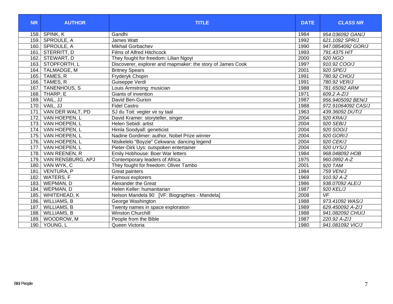| <b>NR</b> | <b>AUTHOR</b>       | <b>TITLE</b>                                               | <b>DATE</b> | <b>CLASS NR</b>          |
|-----------|---------------------|------------------------------------------------------------|-------------|--------------------------|
| 158.      | SPINK, K            | Gandhi                                                     | 1984        | 954.036092 GAN/J         |
| 159.1     | SPROULE, A          | James Watt                                                 | 1992        | 621.1092 SPR/J           |
| 160.      | SPROULE, A          | <b>Mikhail Gorbachev</b>                                   | 1990        | 947.0854092 GOR/J        |
| 161.      | STERRITT, D         | Films of Alfred Hitchcock                                  | 1993        | 791.4375 HIT             |
| 162.      | STEWART, D          | They fought for freedom: Lilian Ngoyi                      | 2000        | 920 NGO                  |
| 163.      | STOPFORTH, L        | Discoverer, explorer and mapmaker: the story of James Cook | 199?        | 910.92 COO/J             |
| 164.      | <b>TALMADGE, M</b>  | <b>Britney Spears</b>                                      | 2001        | 920 SPE/J                |
| 165.      | TAMES, R            | Fryderyk Chopin                                            | 1991        | 780.92 CHO/J             |
| 166.      | TAMES, R            | Guiseppe Verdi                                             | 1991        | 780.92 VER/J             |
| 167.      | <b>TANENHOUS, S</b> | Louis Armstrong: musician                                  | 1988        | 781.65092 ARM            |
| 168.      | THARP, E            | Giants of invention                                        | 1971        | 609.2 A-Z/J              |
| 169.      | VAIL, JJ            | David Ben-Gurion                                           | 1987        | 956.9405092 BEN/J        |
| 170.      | VAIL, JJ            | <b>Fidel Castro</b>                                        | 1988        | 972.91064092 CAS/J       |
| 171.      | VAN DER WALT, PD    | SJ du Toit: vegter vir sy taal                             | 1963        | 439.36092 DUT/J          |
| 172.      | VAN HOEPEN, L       | David Kramer: storyteller, singer                          | 2004        | 920 KRA/J                |
| 173.      | VAN HOEPEN, L       | Helen Sebidi: artist                                       | 2004        | 920 SEB/J                |
| 174.      | VAN HOEPEN, L       | Himla Soodyall: geneticist                                 | 2004        | 920 SOO/J                |
| 175.      | VAN HOEPEN, L       | Nadine Gordimer: author, Nobel Prize winner                | 2004        | 920 GOR/J                |
| 176.      | VAN HOEPEN, L       | Ntsikelelo "Boyzie" Cekwana: dancing legend                | 2004        | 920 CEK/J                |
| 177.      | VAN HOEPEN, L       | Pieter-Dirk Uys: outspoken entertainer                     | 2004        | 920 UYS/J                |
| 178.      | VAN REENEN, R       | Emily Hobhouse: Boer War letters                           | 1984        | 968.048092 HOB           |
| 179.      | VAN RENSBURG, APJ   | Contemporary leaders of Africa                             | 1975        | 960.0992 A-Z             |
| 180.      | VAN WYK, C          | They fought for freedom: Oliver Tambo                      | 2001        | 920 TAM                  |
| 181.      | <b>VENTURA, P</b>   | <b>Great painters</b>                                      | 1984        | <b>759 VEN/J</b>         |
| 182.      | WATERS, F           | Famous explorers                                           | 1969        | 910.92 A-Z               |
| 183.      | WEPMAN, D           | Alexander the Great                                        | 1986        | 938.07092 ALE/J          |
| 184.      | WEPMAN, D           | Helen Keller: humanitarian                                 | 1987        | 920 KEL/J                |
| 185.      | WHITEHEAD, K        | Nelson Mandela 90 [VF: Biographies - Mandela]              | 2008        | $\overline{\mathsf{VF}}$ |
| 186.      | WILLIAMS, B         | George Washington                                          | 1988        | 973.41092 WAS/J          |
| 187.      | WILLIAMS, B         | Twenty names in space exploration                          | 1989        | 629.450092 A-Z/J         |
| 188.      | <b>WILLIAMS, B</b>  | <b>Winston Churchill</b>                                   | 1988        | 941.082092 CHU/J         |
| 189.      | WOODROW, M          | People from the Bible                                      | 1987        | 220.92 A-Z/J             |
| 190.      | YOUNG, L            | Queen Victoria                                             | 1980        | 941.081092 VIC/J         |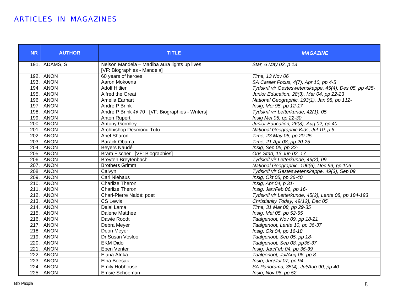#### ARTICLES IN MAGAZINES

| <b>NR</b>        | <b>AUTHOR</b>    | <b>TITLE</b>                                                                | <b>MAGAZINE</b>                                        |
|------------------|------------------|-----------------------------------------------------------------------------|--------------------------------------------------------|
|                  | 191. ADAMS, S    | Nelson Mandela - Madiba aura lights up lives<br>[VF: Biographies - Mandela] | Star, 6 May 02, p 13                                   |
|                  | 192. ANON        | 60 years of heroes                                                          | Time, 13 Nov 06                                        |
|                  | 193. ANON        | Aaron Mokoena                                                               | SA Career Focus, 4(7), Apr 10, pp 4-5                  |
|                  | 194. ANON        | <b>Adolf Hitlier</b>                                                        | Tydskrif vir Gesteswetenskappe, 45(4), Des 05, pp 425- |
|                  | 195. ANON        | Alfred the Great                                                            | Junior Education, 28(3), Mar 04, pp 22-23              |
|                  | <b>196. ANON</b> | Amelia Earhart                                                              | National Geographic, 193(1), Jan 98, pp 112-           |
|                  | <b>197. ANON</b> | André P Brink                                                               | Insig, Mei 95, pp 12-17                                |
|                  | <b>198. ANON</b> | André P Brink @ 70 [VF: Biographies - Writers]                              | Tydskrif vir Letterkunde, 42(1), 05                    |
|                  | <b>199. ANON</b> | Anton Rupert                                                                | Insig Mei 05, pp 22-30                                 |
|                  | <b>200. ANON</b> | <b>Antony Gormley</b>                                                       | Junior Education, 26(8), Aug 02, pp 40-                |
|                  | 201. ANON        | <b>Archbishop Desmond Tutu</b>                                              | National Geographic Kids, Jul 10, p 6                  |
|                  | 202. ANON        | Ariel Sharon                                                                | Time, 23 May 05, pp 20-25                              |
|                  | 203. ANON        | Barack Obama                                                                | Time, 21 Apr 08, pp 20-25                              |
|                  | 204. ANON        | Beyers Naudé                                                                | Insig, Sep 05, pp 32-                                  |
|                  | 205. ANON        | Bram Fischer [VF: Biographies]                                              | Ons Stad, 13 Jun 02, 17                                |
|                  | 206. ANON        | Breyten Breytenbach                                                         | Tydskrif vir Letterkunde, 46(2), 09                    |
|                  | <b>207. ANON</b> | <b>Brothers Grimm</b>                                                       | National Geographic, 196(6), Dec 99, pp 106-           |
|                  | <b>208. ANON</b> | Calvyn                                                                      | Tydskrif vir Gesteswetenskappe, 49(3), Sep 09          |
|                  | 209. ANON        | <b>Carl Niehaus</b>                                                         | Insig, Okt 05, pp 36-40                                |
|                  | <b>210. ANON</b> | <b>Charlize Theron</b>                                                      | $\overline{\text{Insig}}$ , Apr 04, p 31-              |
|                  | <b>211. ANON</b> | <b>Charlize Theron</b>                                                      | Insig, Jan/Feb 06, pp 16-                              |
|                  | <b>212. ANON</b> | Charl-Pierre Naidé: poet                                                    | Tydskrif vir Letterkunde, 45(2), Lente 08, pp 184-193  |
|                  | 213. ANON        | <b>CS Lewis</b>                                                             | Christianity Today, 49(12), Dec 05                     |
|                  | <b>214. ANON</b> | Dalai Lama                                                                  | Time, 31 Mar 08, pp 29-35                              |
|                  | 215. ANON        | Dalene Matthee                                                              | Insig, Mei 05, pp 52-55                                |
|                  | <b>216.</b> ANON | Dawie Roodt                                                                 | Taalgenoot, Nov 09, pp 18-21                           |
|                  | 217. ANON        | Debra Meyer                                                                 | Taalgenoot, Lente 10, pp 36-37                         |
|                  | 218. ANON        | Deon Meyer                                                                  | Insig, Okt 04, pp 16-18                                |
|                  | 219. ANON        | Dr Susan Vosloo                                                             | Taalgenoot, Sep 05, pp 18-                             |
|                  | 220. ANON        | <b>EKM Dido</b>                                                             | Taalgenoot, Sep 08, pp36-37                            |
|                  | <b>221. ANON</b> | Eben Venter                                                                 | Insig, Jan/Feb 04, pp 36-39                            |
| $\overline{222}$ | <b>ANON</b>      | Elana Afrika                                                                | Taalgenoot, Jul/Aug 06, pp 8-                          |
|                  | <b>223. ANON</b> | Elna Boesak                                                                 | Insig, Jun/Jul 07, pp 94                               |
|                  | <b>224. ANON</b> | <b>Emily Hobhouse</b>                                                       | SA Panorama, 35(4), Jul/Aug 90, pp 40-                 |
|                  | <b>225. ANON</b> | Emsie Schoeman                                                              | Insig, Nov 06, pp 52-                                  |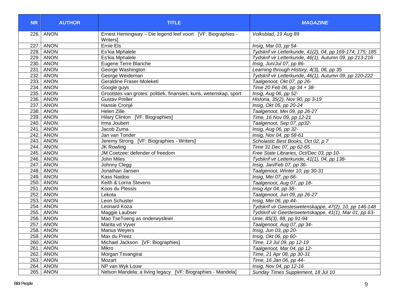| <b>NR</b> | <b>AUTHOR</b>    | <b>TITLE</b>                                                            | <b>MAGAZINE</b>                                           |
|-----------|------------------|-------------------------------------------------------------------------|-----------------------------------------------------------|
|           | 226. ANON        | Ernest Hemingway - Die legend leef voort [VF: Biographies -<br>Writersl | Volksblad, 19 Aug 89                                      |
|           | <b>227. ANON</b> | Ernie Els                                                               | Insig, Mar 03, pp 54-                                     |
|           | <b>228.</b> ANON | Es'kia Mphalele                                                         | Tydskrif vir Letterkunde, 41(2), 04, pp 169-174; 175; 185 |
|           | 229. ANON        | Es'kia Mphalele                                                         | Tydskrif vir Letterkunde, 46(1), Autumn 09, pp 213-216    |
|           | 230. ANON        | Eugene Terre Blanche                                                    | Insig, Jun/Jul 07, pp 86-                                 |
|           | 231. ANON        | George Washington                                                       | Learning through History, 4(3), 06, pp 35                 |
|           | 232. ANON        | George Weideman                                                         | Tydskrif vir Letterkunde, 46(1), Autumn 09, pp 220-222    |
|           | 233. ANON        | Geraldine Fraser-Moleketi                                               | Taalgenoot, Okt 07, pp 26-                                |
|           | 234. ANON        | Google guys                                                             | Time 20 Feb 06, pp 34 + 38-                               |
|           | 235. ANON        | Grootstes van grotes: politiek, finansies, kuns, wetenskap, sport       | Insig, Aug 06, pp 52-                                     |
|           | 236. ANON        | <b>Gustav Preller</b>                                                   | Historia, 35(2), Nov 90, pp 3-19                          |
|           | <b>237. ANON</b> | Hansie Cronjé                                                           | Insig, Okt 05, pp 20-24                                   |
|           | 238. ANON        | <b>Helen Zille</b>                                                      | Taalgenoot, Mei 09, pp 26-27                              |
|           | 239. ANON        | Hilary Clinton [VF: Biographies]                                        | Time, 16 Nov 09, pp 12-21                                 |
|           | 240. ANON        | Irma Joubert                                                            | Taalgenoot, Sep 07, pp32-                                 |
|           | <b>241.</b> ANON | Jacob Zuma                                                              | Insig, Aug 06, pp 32-                                     |
|           | 242. ANON        | Jan van Tonder                                                          | Insig, Nov 04, pp 58-61                                   |
|           | 243. ANON        | Jeremy Strong [VF: Biographies - Writers]                               | Scholastic Best Books, Oct 02, p 7                        |
|           | <b>244. ANON</b> | JK Rowling                                                              | Time 31 Dec 07, pp 62-65                                  |
|           | 245. ANON        | JM Coetzee: defender of freedom                                         | Free State Libraries, Oct/Dec 03, pp 10-                  |
|           | 246. ANON        | <b>John Miles</b>                                                       | Tydskrif vir Letterkunde, 41(1), 04, pp 138-              |
|           | 247. ANON        | Johnny Clegg                                                            | Insig, Jan/Feb 07, pp 36-                                 |
|           | 248. ANON        | Jonathan Jansen                                                         | Taalgenoot, Winter 10, pp 30-31                           |
|           | 249. ANON        | Kass Naidoo                                                             | Insig, Mei 07, pp 66-                                     |
|           | 250. ANON        | Keith & Lorna Stevens                                                   | Taalgenoot, Aug 07, pp 18-                                |
|           | <b>251. ANON</b> | Koos du Plessis                                                         | Insig Apr 04, pp 38-                                      |
|           | <b>252. ANON</b> | Lekota                                                                  | Taalgenoot, Jun 09, pp 26-27                              |
|           | 253. ANON        | Leon Schuster                                                           | Insig, Mei 06, pp 44-                                     |
|           | 254. ANON        | <b>Leonard Koza</b>                                                     | Tydskrif vir Geesteswetenskappe, 47(2), 10, pp 146-148    |
|           | 255. ANON        | Maggie Laubser                                                          | Tydskrif vir Geesteswetenskappe, 41(1), Mar 01, pp 63-    |
|           | 256. ANON        | Mao TseToeng as onderwysleier                                           | Unie, 85(3), 88, pp 91-94                                 |
|           | <b>257. ANON</b> | Marita vd Vyver                                                         | Taalgenoot, Aug 07, pp 34-                                |
|           | 258. ANON        | <b>Marius Weyers</b>                                                    | Insig, Jun 03, pp 20-                                     |
|           | 259. ANON        | Max du Preez                                                            | Insig, Okt 06, pp 60-                                     |
|           | 260. ANON        | Michael Jackson [VF: Biographies]                                       | Time, 13 Jul 09, pp 12-19                                 |
|           | 261. ANON        | <b>Mikro</b>                                                            | Taalgenoot, Mar 04, pp 12-                                |
|           | 262. ANON        | Morgan Tsvangirai                                                       | Time, 21 Apr 08, pp 30-31                                 |
|           | 263. ANON        | Mozart                                                                  | Time, 16 Jan 06, pp 44-                                   |
|           | 264. ANON        | NP van Wyk Louw                                                         | Insig, Nov 04, pp 12-16                                   |
|           | 265. ANON        | Nelson Mandela: a living legacy [VF: Biographies - Mandela]             | Sunday Times Supplement, 18 Jul 10                        |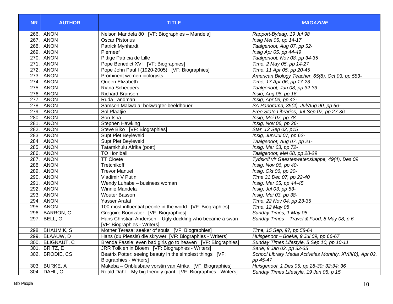| <b>NR</b> | <b>AUTHOR</b>    | <b>TITLE</b>                                                   | <b>MAGAZINE</b>                                            |
|-----------|------------------|----------------------------------------------------------------|------------------------------------------------------------|
|           | 266. ANON        | Nelson Mandela 80 [VF: Biographies - Mandela]                  | Rapport-Bylaag, 19 Jul 98                                  |
|           | 267. ANON        | <b>Oscar Pistorius</b>                                         | Insig Mei 05, pp 14-17                                     |
|           | 268. ANON        | Patrick Mynhardt                                               | Taalgenoot, Aug 07, pp 52-                                 |
|           | 269. ANON        | Pierneef                                                       | Insig Apr 05, pp 44-49                                     |
|           | 270. ANON        | Pittige Patricia de Lille                                      | Taalgenoot, Nov 08, pp 34-35                               |
|           | 271. ANON        | Pope Benedict XVI [VF: Biographies]                            | Time, 2 May 05, pp 14-27                                   |
|           | 272. ANON        | Pope John Paul I (1920-2005) [VF: Biographies]                 | Time, 11 Apr 05, pp 20-45                                  |
|           | 273. ANON        | Prominent women biologists                                     | American Biology Teacher, 65(8), Oct 03, pp 583-           |
|           | 274. ANON        | Queen Elizabeth                                                | Time, 17 Apr 06, pp 17-23                                  |
|           | 275. ANON        | Riana Scheepers                                                | Taalgenoot, Jun 08, pp 32-33                               |
|           | 276. ANON        | <b>Richard Branson</b>                                         | Insig, Aug 06, pp 16-                                      |
|           | 277. ANON        | Ruda Landman                                                   | Insig, Apr 03, pp 42-                                      |
|           | 278. ANON        | Samson Makwala: bokwagter-beeldhouer                           | SA Panorama, 35(4), Jul/Aug 90, pp 66-                     |
|           | 279. ANON        | Sol Plaatjie                                                   | Free State Libraries, Jul-Sep 07, pp 27-36                 |
|           | 280. ANON        | Son-Isha                                                       | Insig, Mei 07, pp 78-                                      |
|           | 281. ANON        | Stephen Hawking                                                | Insig, Nov 06, pp 26-                                      |
|           | 282. ANON        | Steve Biko [VF: Biographies]                                   | Star, 12 Sep 02, p15                                       |
|           | 283. ANON        | Supt Piet Beyleveld                                            | Insig, Jun/Jul 07, pp 62-                                  |
|           | 284. ANON        | <b>Supt Piet Beyleveld</b>                                     | Taalgenoot, Aug 07, pp 21-                                 |
|           | 285. ANON        | Tatamkhulu Afrika (poet)                                       | Insig, Mar 03, pp 72-                                      |
|           | 286. ANON        | <b>TO Honiball</b>                                             | Taalgenoot, Mei 08, pp 28-29                               |
|           | 287. ANON        | <b>TT Cloete</b>                                               | Tydskrif vir Geesteswetenskappe, 49(4), Des 09             |
|           | 288. ANON        | Tretchikoff                                                    | Insig, Nov 06, pp 40-                                      |
|           | 289. ANON        | <b>Trevor Manuel</b>                                           | Insig, Okt 06, pp 20-                                      |
|           | 290. ANON        | Vladimir V Putin                                               | Time 31 Dec 07, pp 22-40                                   |
|           | 291. ANON        | Wendy Luhabe - business woman                                  | Insig, Mar 05, pp 44-45                                    |
|           | 292. ANON        | Winnie Mandela                                                 | Insig, Jul 03, pp 53-                                      |
|           | 293. ANON        | <b>Wouter Basson</b>                                           | Insig, Mei 03, pp 38-                                      |
|           | 294. ANON        | Yasser Arafat                                                  | Time, 22 Nov 04, pp 23-35                                  |
|           | 295. ANON        | 100 most influential people in the world [VF: Biographies]     | Time, 12 May 08                                            |
|           | 296. BARRON, C   | Gregoire Boonzaier [VF: Biographies]                           | Sunday Times, 1 May 05                                     |
|           | 297. BELL, G     | Hans Christian Andersen - Ugly duckling who became a swan      | Sunday Times - Travel & Food, 8 May 08, p 6                |
|           |                  | [VF: Biographies - Writers]                                    |                                                            |
|           | 298. BHAUMIK, S  | Mother Teresa: seeker of souls [VF: Biographies]               | Time, 15 Sep, 97, pp 58-64                                 |
|           | 299. BLAAUW, D   | Hans (du Plessis) die skrywer [VF: Biographies - Writers]      | Huisgenoot - Boeke, 9 Jul 09, pp 66-67                     |
|           | 300. BLIGNAUT, C | Brenda Fassie: even bad girls go to heaven [VF: Biographies]   | Sunday Times Lifestyle, 5 Sep 10, pp 10-11                 |
|           | 301. BRITZ, E    | JRR Tolkien in Bloem [VF: Biographies - Writers]               | Sarie, 9 Jan 02, pp 32-35                                  |
|           | 302. BRODIE, CS  | Beatrix Potter: seeing beauty in the simplest things [VF:      | School Library Media Activities Monthly, XVIII(8), Apr 02, |
|           |                  | <b>Biographies - Writers]</b>                                  | pp 45-47                                                   |
|           | 303. BURKE, A    | Makeba - Onblusbare vorstin van Afrika [VF: Biographies]       | Huisgenoot, 1 Des 05, pp 28-30; 32;34; 36                  |
|           | 304. DAHL, O     | Roald Dahl - My big friendly giant [VF: Biographies - Writers] | Sunday Times Lifestyle, 19 Jun 05, p 15                    |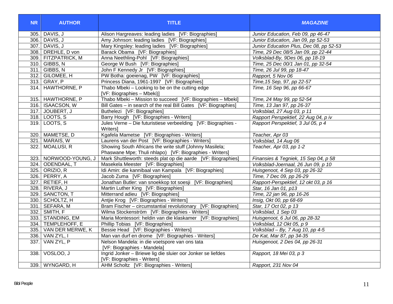| <b>NR</b> | <b>AUTHOR</b>         | <b>TITLE</b>                                                                                                        | <b>MAGAZINE</b>                         |
|-----------|-----------------------|---------------------------------------------------------------------------------------------------------------------|-----------------------------------------|
|           | 305. DAVIS, J         | Alison Hargreaves: leading ladies [VF: Biographies]                                                                 | Junior Education, Feb 09, pp 46-47      |
|           | 306. DAVIS, J         | Amy Johnson: leading ladies [VF: Biographies]                                                                       | Junior Education, Jan 09, pp 52-53      |
|           | 307. DAVIS, J         | Mary Kingsley: leading ladies [VF: Biographies]                                                                     | Junior Education Plus, Dec 08, pp 52-53 |
|           | 308. DREHLE, D von    | Barack Obama [VF: Biographies]                                                                                      | Time, 29 Dec 08/5 Jan 09, pp 22-44      |
|           | 309. FITZPATRICK, M   | Anna Neethling-Pohl [VF: Biographies]                                                                               | Volksblad-By, 9Des 06, pp 18-19         |
|           | 310. GIBBS, N         | George W Bush [VF: Biographies]                                                                                     | Time, 25 Dec 00/1 Jan 01, pp 32-54      |
|           | 311. GIBBS, N         | John F Kennedy Jr [VF: Biographies]                                                                                 | Time, 26 Jul 99, pp 18-47               |
|           | 312. GILOMEE, H       | PW Botha: goeienag, PW [VF: Biographies]                                                                            | Rapport, 5 Nov 06                       |
|           | 313. GRAY, P          | Princess Diana, 1961-1997 [VF: Biographies]                                                                         | Time, 15 Sep, 97, pp 22-57              |
|           | 314. HAWTHORNE, P     | Thabo Mbeki - Looking to be on the cutting edge<br>[VF: Biographies - Mbeki)]                                       | Time, 16 Sep 96, pp 66-67               |
|           | 315. HAWTHORNE, P     | Thabo Mbeki - Mission to succeed [VF: Biographies - Mbeki]                                                          | Time, 24 May 99, pp 52-54               |
|           | 316. ISAACSON, W      | Bill Gates - in search of the real Bill Gates [VF: Biographies]                                                     | Time, 13 Jan 97, pp 26-37               |
|           | 317. JOUBERT, J       | Buthelezi [VF: Biographies]                                                                                         | Volksblad, 27 Aug 03, p 11              |
|           | 318. LOOTS, S         | Barry Hough [VF: Biographies - Writers]                                                                             | Rapport Perspektief, 22 Aug 04, p iv    |
|           | 319. LOOTS, S         | Jules Verne - Die futuristiese verbeelding [VF: Biographies -<br><b>Writers1</b>                                    | Rapport Perspektief, 3 Jul 05, p 4      |
|           | 320. MAMETSE, D       | Kgafela Mametse [VF: Biographies - Writers]                                                                         | Teacher, Apr 03                         |
|           | 321. MARAIS, W        | Laurens van der Post [VF: Biographies - Writers]                                                                    | Volksblad, 14 Aug 06                    |
|           | 322. MOALUSI, R       | Showing South Africans the write stuff (Johnny Masilela;<br>Phaswane Mpe; Thuli nhlapo) [VF: Biographies - Writers] | Teacher, Apr 03, pp 1-2                 |
|           | 323. NORWOOD-YOUNG, J | Mark Shuttleworth: steeds plat op die aarde [VF: Biographies]                                                       | Finansies & Tegniek, 15 Sep 04, p 58    |
|           | 324. ODENDAAL, T      | Masekela Meester [VF: Biographies]                                                                                  | Volksblad-Joernaal, 26 Jun 09, p 10     |
|           | 325. ORIZIO, R        | Idi Amin: die kannibaal van Kampala [VF: Biographies]                                                               | Huisgenoot, 4 Sep 03, pp 26-32          |
|           | 326. PERRY, A         | Jacob Zuma [VF: Biographies]                                                                                        | Time, 7 Dec 09, pp 26-29                |
|           | 327. RETIEF, H        | Jonathan Butler: van snoekkop tot soesji [VF: Biographies]                                                          | Rapport-Perspektief, 12 okt 03, p 16    |
|           | 328. RIVERA, J        | Martin Luther King [VF: Biographies]                                                                                | Star, 16 Jan 01, p13                    |
|           | 329. SANCTON, T       | Mitterrand adieu [VF: Biographies]                                                                                  | Time, 22 jan 96, pp 16-26               |
|           | 330. SCHOLTZ, H       | Antije Krog [VF: Biographies - Writers]                                                                             | Insig, Okt 00, pp 68-69                 |
|           | 331. SEFARA, M        | Bram Fischer - circumstantial revolutionary [VF: Biographies]                                                       | Star, 17 Oct 02, p 13                   |
|           | 332. SMITH, F         | Wilma Stockenström [VF: Biographies - Writers]                                                                      | Volksblad, 1 Sep 03                     |
|           | 333. STANDING, EM     | Maria Montessori: heldin van die klaskamer [VF: Biographies]                                                        | Huisgenoot, 6 Jul 06, pp 28-32          |
|           | 334. TEMPLEHOFF, E    | Phillip Tobias [VF: Biographies]                                                                                    | Volksblad, 12 Okt 05, p 9               |
|           | 335. VAN DER MERWE, K | Bessie Head [VF: Biographies - Writers]                                                                             | Volksblad - By, 7 Aug 10, pp 4-5        |
|           | 336. VAN ZYL, I       | Man van durf en drome [VF: Biographies - Writers]                                                                   | De Kat, Mar 87, pp 34-35                |
|           | 337. VAN ZYL, P       | Nelson Mandela: in die voetspore van ons tata<br>[VF: Biographies - Mandela]                                        | Huisgenoot, 2 Des 04, pp 26-31          |
|           | 338. VOSLOO, J        | Ingrid Jonker - Briewe lig die sluier oor Jonker se liefdes<br>[VF: Biographies - Writers]                          | Rapport, 18 Mei 03, p 3                 |
|           | 339. WYNGARD, H       | AHM Scholtz [VF: Biographies - Writers]                                                                             | Rapport, 231 Nov 04                     |